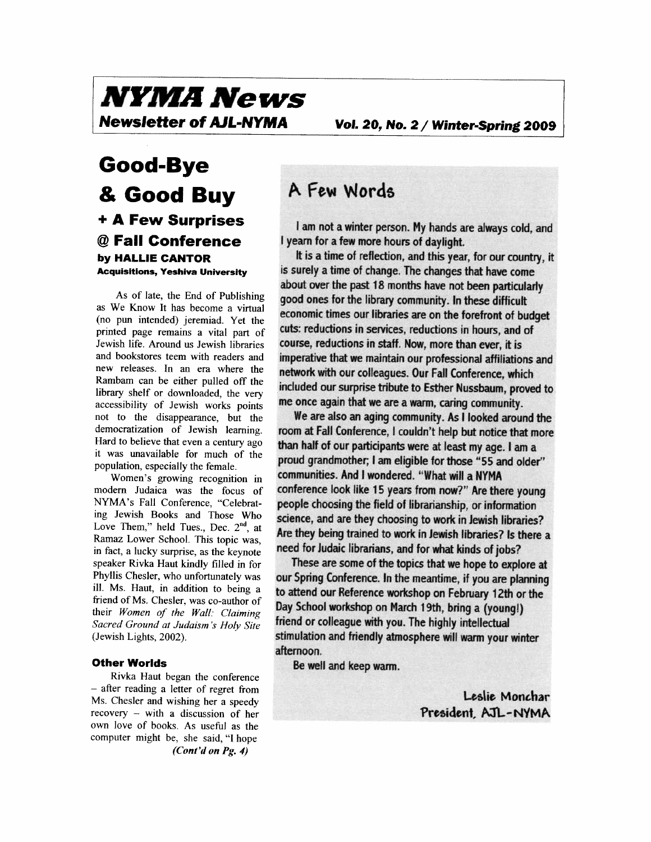# *NYMA News*<br>Newsletter of AJL-NYMA

### **Good-Bye**  & **Good Buy**  + **A Few Surprises**  @ **Fall Conference by HALLIE CANTOR Acquisltlons, Yeshiva University**

As of late, the End of Publishing as We Know It has become a virtual (no pun intended) jeremiad. Yet the printed page remains a vital part of Jewish life. Around us Jewish libraries and bookstores teem with readers and new releases. In an era where the Rambam can be either pulled off the library shelf or downloaded, the very accessibility of Jewish works points not to the disappearance, but the democratization of Jewish learning. Hard to believe that even a century ago it was unavailable for much of the population, especially the female.

Women's growing recognition in modem Judaica was the focus of NYMA's Fall Conference, "Celebrating Jewish Books and Those Who Love Them," held Tues., Dec.  $2<sup>nd</sup>$ , at Ramaz Lower School. This topic was, in fact, a lucky surprise, as the keynote speaker Rivka Haut kindly filled in for Phyllis Chesler, who unfortunately was ill. Ms. Haut, in addition to being a friend of Ms. Chesler, was co-author of their *Women of the Wall: Claiming Sacred Ground at Judaism* **'s** *Holy Site*  (Jewish Lights, 2002).

#### **Other Worlds**

Rivka Haut began the conference - after reading a letter of regret from Ms. Chesler and wishing her a speedy recovery - with a discussion of her own love of books. As useful as the computer might be, she said, **"I** hope *(Cont'd on* **Pg. 4)** 

### **A Few Words**

*R* **d** *refson.* **My hands are always cold, and 1** am not a winter person. My hands a<br>**I** yearn for a few more hours of daylight.

good ones for the library community. In these difficult **economic times our libraries are on the forefront of bud<br>cuts: reductions in services, reductions in bours, and of** economic times our notaties are on the forefront of budg<br>cuts: reductions in services, reductions in hours, and of **it** is a time of reflection, and this year, for our country, it is surely a time of change. The changes that have come<br>about over the past 1.8 months have not been particularl **network with our colleagues. Our Fall Conference, which** included our surprise tribute to Esther Nussbaum, proved to menducu our surprise tribute to estrier wassbaum, provincially. about over the past 18 months have not been particularly course, reductions in staff. Now, more than ever, it is imperative that we maintain our professional affiliations and

We are also an aging community. As **I** looked around the **loom at Fall Conference, I couldn't help but notice that more<br>than half of our participants were at least my age, I am a** proud grandmother; I am eligible for those "55 and older" communities. And I wondered. "What will a NYMA **people choosing the field of librarianship, or information people choosing the field of librarianship, or information Science, and are they choosing to work in Jewish libraries?<br>Are they being trained to work in Jewish libraries? Is there a** room at Fall Conference, I couldn't help but notice that m<br>than half of our participants were at least my age. I am a **~rians,** *an1*  **need for Judaic libra d for what kinds of jobs?**  conference look like 15 years from now?" Are there young Are they being trained to work in Jewish libraries? Is there a

friend or colleague with you. The highly intellectual stimulation and friendly atmosphere will warm your winter afternoon. These are some of the topics that we hope to explore at **out Spring Conference. In the meantime, if you are planning to attend our Reference workshop on February 1 Zfh or the**   $Day$  School workshop on March 19th, bring a (young!)

**Be well and keep** 

Leslie Monchar President, AJL-NYMA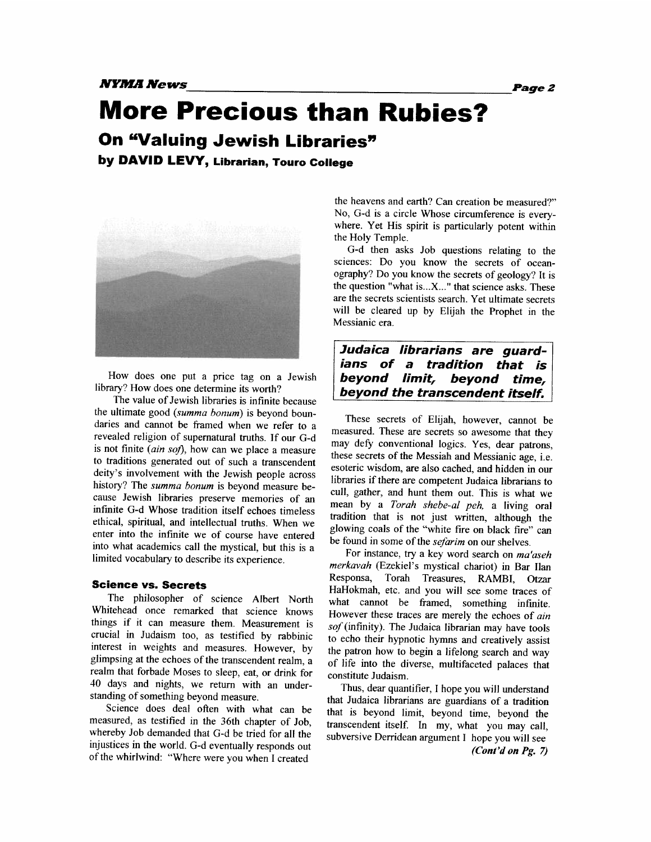*NYMIA* **News** *Page* **2** 

**More Precious than Rubies?** 

### **On "Valuing Jewish Libraries"**

**by DAVID LEVY, Librarian, Touro College** 



How does one put a price tag on a Jewish library? How does one determine its worth?

The value of Jewish libraries is infinite because the ultimate good (summa bonum) is beyond boundaries and cannot be framed when we refer to a revealed religion of supernatural truths. If our G-d is not finite  $(ain\; soft)$ , how can we place a measure to traditions generated out of such a transcendent deity's involvement with the Jewish people across history? The *summa bonum* is beyond measure because Jewish libraries preserve memories of an infinite G-d Whose tradition itself echoes timeless ethical, spiritual, and intellectual truths. When we enter into the infinite we of course have entered into what academics call the mystical, but this is a limited vocabulary to describe its experience.

#### **Science vs. Secrets**

The philosopher of science Albert North Whitehead once remarked that science knows things if it can measure them. Measurement is crucial in Judaism too, as testified by rabbinic interest in weights and measures. However, by glimpsing at the echoes of the transcendent realm, a realm that forbade Moses to sleep, eat, or drink for 40 days and nights, we return with an understanding of something beyond measure.

Science does deal often with what can be measured, as testified in the 36th chapter of Job, whereby Job demanded that G-d be tried for all the injustices in the world. G-d eventually responds out of the whirlwind: "Where were you when I created

the heavens and earth? Can creation be measured?" No, G-d is a circle Whose circumference is everywhere. Yet His spirit is particularly potent within the Holy Temple.

G-d then asks Job questions relating to the sciences: Do you know the secrets of oceanography? Do you know the secrets of geology? It is the question "what is ... X..." that science asks. These are the secrets scientists search. Yet ultimate secrets will be cleared up by Elijah the Prophet in the Messianic era.

### **Judaica librarians are guardians of a tradition that is beyond limit, beyond time, beyond the transcendent itself.**

These secrets of Elijah, however, cannot be measured. These are secrets so awesome that they may defy conventional logics. Yes, dear patrons, these secrets of the Messiah and Messianic age, i.e. esoteric wisdom, are also cached, and hidden in our libraries if there are competent Judaica librarians to cull, gather, and hunt them out. This is what we mean by a Torah shebe-al peh, a living oral tradition that is not just written, although the glowing coals of the "white fire on black fire" can be found in some of the *sefarim* on our shelves.

For instance, try a key word search on ma'aseh merkavah (Ezekiel's mystical chariot) in Bar Ilan Responsa, Torah Treasures, RAMBI, **Otzar**  HaHokmah, etc. and you will see some traces of what cannot be framed, something infinite. However these traces are merely the echoes of ain sof (infinity). The Judaica librarian may have tools to echo their hypnotic hymns and creatively assist the patron how to begin a lifelong search and way of life into the diverse, multifaceted palaces that constitute Judaism.

Thus, dear quantifier, I hope you will understand that Judaica librarians are guardians of a tradition that is beyond limit, beyond time, beyond the transcendent itself. **In** my, what you may call, subversive Derridean argument I hope you will see *(Cont'd on Pg.* **7)**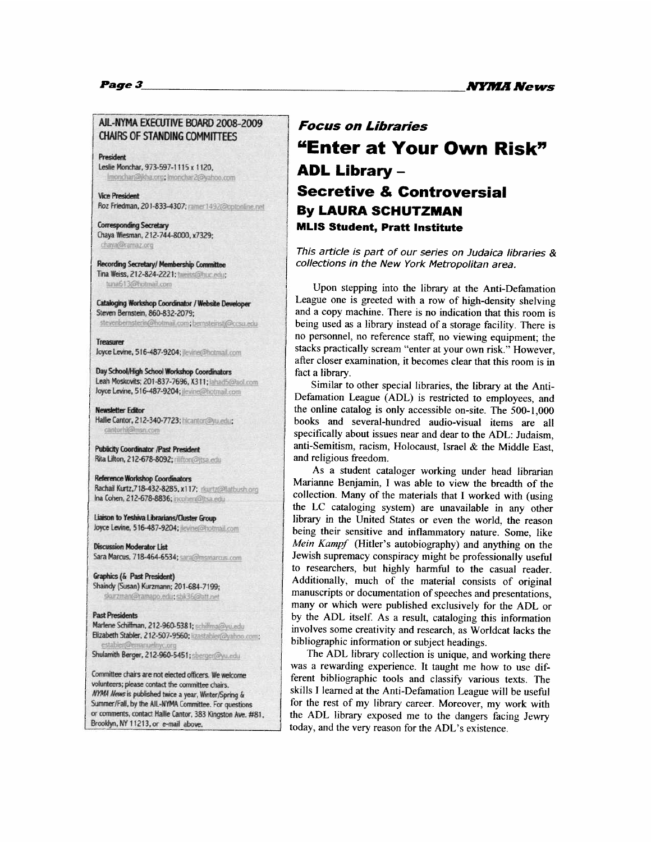### AIL-NYMA EXECUTIVE BOARD 2008-2009<br>CHAIRS OF STANDING COMMITTEES

President Leslie Monchar, 973-597-1115 x 1120. Imonchar@jkha.org; Imonchar2@yahoo.com

**Vice President** Roz Friedman, 201-833-4307; ramer1492@optonline.net

**Corresponding Secretary** Chaya Wiesman, 212-744-8000, x7329; chaya@ramaz.org

Recording Secretary/ Membership Committee Tina Weiss, 212-824-2221; tweiss@huc.edu; tuna613@hotmail.com

Cataloging Workshop Coordinator / Website Developer Steven Bernstein, 860-832-2079: stevenbernsterin@hotmail.com; bernsteinstj@ccsu.edu

**Treasurer** 

loyce Levine, 516-487-9204; jewine@hotmail.com

Day School/High School Workshop Coordinators Leah Moskovits; 201-837-7696, X311; lahad5@aol.com **Joyce Levine, 516-487-9204; increased botmail.com** 

**Newsletter Editor** Hallie Cantor, 212-340-7723; hicantor@yu.edu; cantorhi@msn.com

**Publicity Coordinator /Past President** Rita Lifton, 212-678-8092; rilifton@jtsa.edu

**Reference Workshop Coordinators** Rachail Kurtz, 718-432-8285, x117; rkurtz@flatbush.org Ina Cohen, 212-678-8836; incohen@jtsa.edu

Liaison to Yeshiva Librarians/Cluster Group loyce Levine, 516-487-9204; levine@hotmail.com

**Discussion Moderator List** Sara Marcus, 718-464-6534; sara@msmarcus.com

**Graphics (& Past President)** Shaindy (Susan) Kurzmann; 201-684-7199;<br>skurzman@ramapo.edu; sbk36@att.net

#### **Past Presidents**

Marlene Schiffman, 212-960-5381; schiffma@yu.edu Elizabeth Stabler, 212-507-9560; lizastabler@yahoo.com;

Shulamith Berger, 212-960-5451; sherger@yu.edu

Committee chairs are not elected officers. We welcome volunteers; please contact the committee chairs. **NYMA News is published twice a year, Winter/Spring &** Summer/Fall, by the AIL-NYMA Committee. For questions  $or$  comments, contact Hallie Cantor, 383 Kingston Ave. #81, Brooklyn, NY 11213, or e-mail above.

### **"Enter at Your Own Risk"** / **ADL Library** - <sup>1</sup>**Secretive** & **Controversial By LAURA SCHUTZMAN MLlS Student, Pratt Institute**

This article is part of our series on Judaica libraries &<br>collections in the New York Metropolitan area.<br>Upon stepping into the library at the Anti-Defamation collections in the New York Metropolitan area.

Upon stepping into the library at the Anti-Defamation<br>League one is greeted with a row of high-density shelving<br>and a conv machine. There is no indication that this room is and a copy machine. There is no indication that this room is being used as a library instead of a storage facility. There is no personnel, no reference staff, no viewing equipment; the stacks practically scream "enter at your own risk." However, after closer examination, it becomes clear that this room is in fact a library.

Similar to other special libraries, the library at the Anti-Defamation League (ADL) is restricted to employees, and the online catalog is only accessible on-site. The 500-1,000 books and several-hundred audio-visual items are all specifically about issues near and dear **to** the ADL: Judaism, anti-Semitism, racism, Holocaust, Israel & the Middle East, and religious fieedom.

As a student cataloger working under head librarian Marianne Benjamin, I was able to view the breadth of the collection. Many of the materials that I worked with (using the LC cataloging system) are unavailable in any other library in the United States or even the world, the reason being their sensitive and inflammatory nature. Some, like *Mein* **Karnpf** (Hitler's autobiography) and anything on the Jewish supremacy conspiracy might be professionally useful It to researchers, but highly harmful to the casual reader.<br>
Additionally, much of the material consists of original<br>
manuscripts or documentation of speeches and presentations, Additionally, much of the material consists of original many or which were published exclusively for the ADL or by the ADL itself. As a result, cataloging this information *<sup>I</sup>*involves some creativity and research, as Worldcat lacks the bibliographic information or subject headings.

The ADL library collection is unique, and working there was a rewarding experience. It taught me how to use different bibliographic tools and classify various texts. The skills I learned at the Anti-Defamation League will be useful for the rest of my library career. Moreover, my work with the ADL library exposed me to the dangers facing Jewry today, and the very reason for the ADL's existence.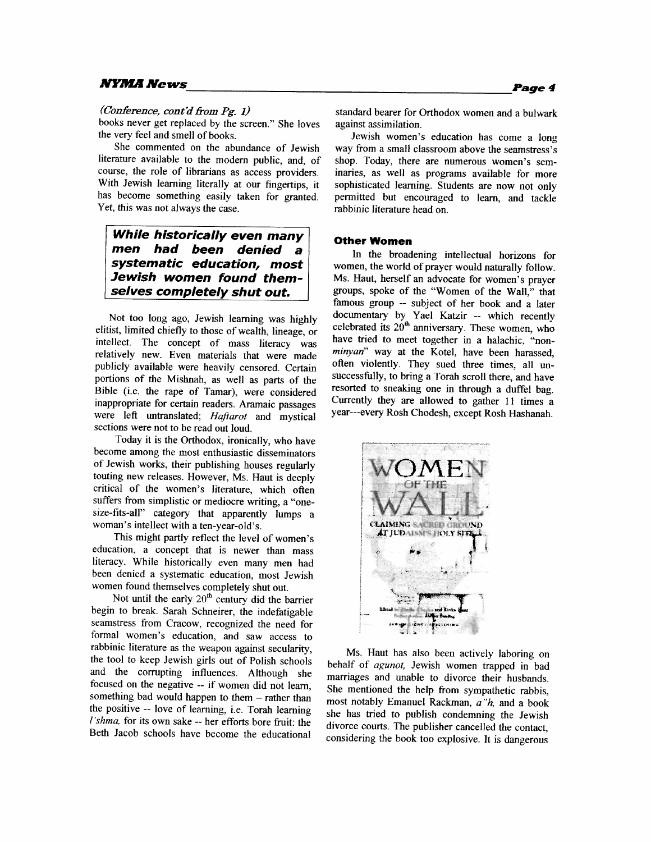#### *NYMA News*

#### *(Coderence, cont'd &om* Pg. *1)*

books never get replaced by the screen." She loves the very feel and smell of books.

She commented on the abundance of Jewish literature available to the modern public, and, of course, the role of librarians as access providers. With Jewish learning literally at our fingertips, it has become something easily taken for granted. Yet, this was not always the case.

**While historically even many men had been denied a systematic education, most Jewish women found them**selves completely shut out.

Not too long ago, Jewish learning was highly elitist, limited chiefly to those of wealth, lineage, or intellect. The concept of mass literacy was relatively new. Even materials that were made publicly available were heavily censored. Certain portions of the Mishnah, as well as parts of the Bible (i.e. the rape of Tamar), were considered inappropriate for certain readers. Aramaic passages were left untranslated; *Hafiarot* and mystical sections were not to be read out loud.

Today it is the Orthodox, ironically, who have become among the most enthusiastic disseminators of Jewish works, their publishing houses regularly touting new releases. However, Ms. Haut is deeply critical of the women's literature, which often suffers from simplistic or mediocre writing, a "onesize-fits-all" category that apparently lumps a woman's intellect with a ten-year-old's.

This might partly reflect the level of women's education, a concept that is newer than mass literacy. While historically even many men had been denied a systematic education, most Jewish women found themselves completely shut out.

Not until the early  $20<sup>th</sup>$  century did the barrier begin to break. Sarah Schneirer, the indefatigable seamstress from Cracow, recognized the need for formal women's education, and saw access to rabbinic literature as the weapon against secularity, the tool to keep Jewish girls out of Polish schools and the corrupting influences. Although she focused on the negative -- if women did not learn, something bad would happen to them - rather than the positive -- love of learning, i.e. Torah learning *l'shma*, for its own sake -- her efforts bore fruit: the Beth Jacob schools have become the educational

**Page 4** 

standard bearer for Orthodox women and a bulwark against assimilation.

Jewish women's education has come a long way from a small classroom above the seamstress's shop. Today, there are numerous women's seminaries, as well as programs available for more sophisticated learning. Students are now not only permitted but encouraged to learn, and tackle rabbinic literature head on.

#### **Other Women**

In the broadening intellectual horizons for women, the world of prayer would naturally follow. Ms. Haut, herself an advocate for women's prayer groups, spoke of the "Women of the Wall," that famous group -- subject of her book and a later documentary by Yael Katzir -- which recently celebrated its  $20<sup>th</sup>$  anniversary. These women, who have tried to meet together in a halachic, "non**minyan"** way at the Kotel, have been harassed, often violently. They sued three times, all unsuccessfully, to bring a Torah scroll there, and have resorted to sneaking one in through a duffel bag. Currently they are allowed to gather **11** times a year---every Rosh Chodesh, except Rosh Hashanah.



Ms. Haut has also been actively laboring on behalf of *agunot,* Jewish women trapped in bad marriages and unable to divorce their husbands. She mentioned the help from sympathetic rabbis, most notably Emanuel Rackrnan, *a"h,* and a book she has tried to publish condemning the Jewish divorce courts. The publisher cancelled the contact, considering the book too explosive. It is dangerous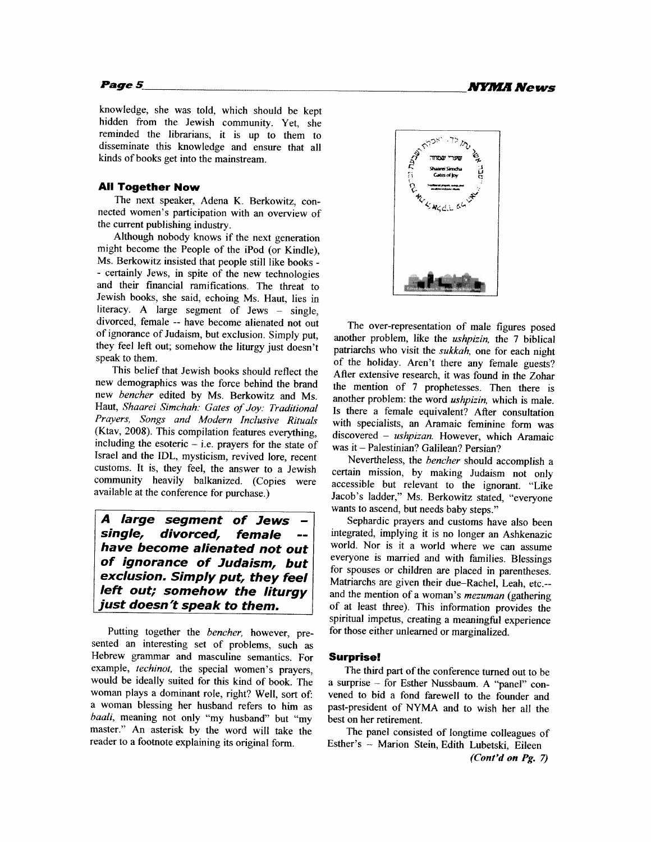knowledge, she was told, which should be kept hidden from the Jewish community. Yet, she reminded the librarians, it is up to them to disseminate this knowledge and ensure that all kinds of books get into the mainstream.

#### **All Together Now**

The next speaker, Adena K. Berkowitz, connected women's participation with an overview of the current publishing industry.

Although nobody knows if the next generation might become the People of the iPod (or Kindle), Ms. Berkowitz insisted that people still like books - - certainly Jews, in spite of the new technologies and their fmancial ramifications. The threat to Jewish books, she said, echoing Ms. Haut, lies in literacy. A large segment of Jews - single, divorced, female -- have become alienated not out of ignorance of Judaism, but exclusion. Simply put, they feel left out; somehow the liturgy just doesn't speak to them.

This belief that Jewish books should reflect the new demographics was the force behind the brand new *bencher* edited by Ms. Berkowitz and Ms. Haut, *Shaarei Simchah: Gates of Joy: Traditional Prayers, Songs and Modern Inclusive Rituals*  (Ktav, 2008). This compilation features everything, including the esoteric  $-$  i.e. prayers for the state of Israel and the IDL, mysticism, revived lore, recent customs. It is, they feel, the answer to a Jewish community heavily balkanized. (Copies were available at the conference for purchase.)

**A large segment of Jews single, divorced, female** - **have become alienated not out of ignorance of Judaism, but exclusion. Simply put, they feel left out; somehow the liturgy just doesn't speak to them.** 

Putting together the *bencher,* however, presented an interesting set of problems, such as Hebrew grammar and masculine semantics. For example, *techinot,* the special women's prayers, would be ideally suited for this kind of book. The woman plays a dominant role, right? Well, sort of a woman blessing her husband refers to him as *baali,* meaning not only "my husband" but "my master." An asterisk by the word will take the reader to a footnote explaining its original form.



The over-representation of male figures posed another problem, like the *ushpizin,* the 7 biblical patriarchs who visit the *sukkah,* one for each night of the holiday. Aren't there any female guests? After extensive research, it was found in the Zohar the mention of 7 prophetesses. Then there is another problem: the word *ushpizin,* which is male. Is there a female equivalent? After consultation with specialists, an Aramaic feminine form was vith specialists, an Aramaic feminine form was<br>liscovered – *ushpizan*. However, which Aramaic liscovered – *ushpizan*. However, which<br>vas it – Palestinian? Galilean? Persian? was it – Palestinian? Galilean? Persian?<br>Nevertheless, the *bencher* should accomplish a

certain mission, by making Judaism not only accessible but relevant to the ignorant. "Like Jacob's ladder," Ms. Berkowitz stated, "everyone wants to ascend, but needs baby steps."

Sephardic prayers and customs have also been integrated, implying it is no longer an Ashkenazic world. Nor is it a world where we can assume everyone is married and with families. Blessings for spouses or children are placed in parentheses. Matriarchs are given their due-Rachel, Leah, etc.- and the mention of a woman's *mezuman* (gathering of at least three). This information provides the spiritual impetus, creating a meaningful experience for those either unlearned or marginalized.

#### **Surprise!**

The third part of the conference turned out to be surprise – for Esther Nussbaum. A "panel" cona surprise – for Esther Nussbaum. A "panel" convened to bid a fond farewell to the founder and past-president of NYMA and to wish her all the best on her retirement.

The panel consisted of longtime colleagues of Esther's - Marion Stein, Edith Lubetski, Eileen

**(Cont'd on** Pg. **7)**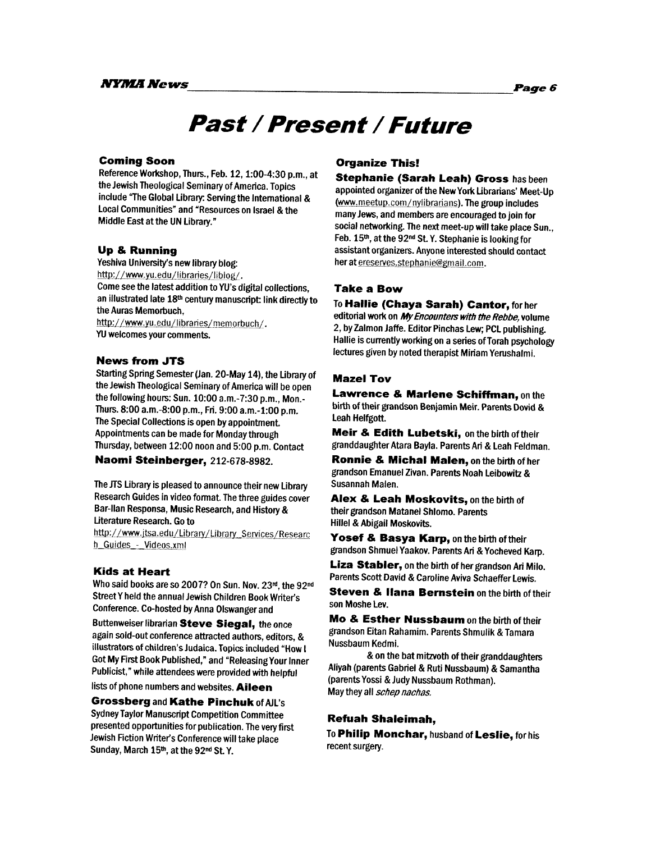## **Past /Present /Future**

#### **Coming Soon**

Reference Workshop, Thurs., Feb. 12, 1:00-4:30 p.m., at the Jewish Theological Seminary of America. Topics include The Global Library: Sewing the International & Local Communities" and "Resources on Israel & the Middle East at the UN Library."

#### **Up** & **Running**

veshiva University's new library blog:<br>
http://www.yu.edu/libraries/liblog/. Come see the latest addition to **YU's** digital collections, an illustrated late 18<sup>th</sup> century manuscript: link directly to the Auras Memorbuch, http://www.yu.edu/libraries/memorbuch/.

**W** welcomes your comments.

#### **News from JTS**

Starting Spring Semester (Jan. 20-May 14), the Library of the Jewish Theological Seminary of America will be open the following hours: Sun. 10:00 a.m.-7:30 p.m., Mon.-Thurs. 8:00 a.m.-8:00 p.m., Fri. 9:00 a.m.-1:00 p.m. The Special Collections is open by appointment Appointments can be made for Monday through Thursday, between 12:OO noon and 5:00 p.m. Contact

#### **Naomi Steinberger,** 212-678-8982.

The JTS Library is pleased to announce their new Library Research Guides in video format. The three guides cover Bar-llan Responsa, Music Research, and History & Literature Research. Go to iterature Research. Go to<br>ttp://www.jtsa.edu/Library/Library\_Services/Researc

t<u>tp://www.jtsa.edu/Libr.</u><br>\_Guides <sub>-</sub>- Videos.xml

#### **Kids at Heart**

Who said books are so 2007? On Sun. Nov. 23rd, the 92<sup>nd</sup> StreetY held the annual Jewish Children Book Writer's Conference. Co-hosted by Anna Olswangerand

Buttenweiser librarian **Steve Siegal,** the once again sold-out conference attracted authors, editors, & illustrators of children's Judaica. Topics included "How I Got My First Book Published," and "ReleasingYour Inner Publicist," while attendees were provided with helpful

#### lists of phone numbers and websites. **Aileen**

**Grossberg** and **Kathe Pinchuk** of AJL's Sydney Taylor Manuscript Competition Committee presented opportunities for publication. The very first Jewish fiction Writer's Conference will take place Sunday, March 15th, at the 92<sup>nd</sup> St. Y.

#### **Organize This!**

**Stephanie (Sarah Leah) Gross** has been appointed organizer of **the** New Yofk Librarians' Meet-Up (www.meetup.com/nylibrarians). The group includes many Jews, and members are encouraged to join for social networking. The next meet-up will take place Sun., Feb. 15<sup>th</sup>, at the 92<sup>nd</sup> St. Y. Stephanie is looking for assistant organizers. Anyone interested should contact her at ereserves.stephanie@gmail.com.

#### **Take a Bow**

To **Hallie (Chaya Sarah) Cantor,** for her editorial work on *My Encounters with the Rebbe*, volume 2, by Zalmon Jaffe. Editor Pinchas Lew; PCL publishing. Hallie is currently working on a series of Torah psychology lectures given by noted therapist Miriam Yerushalmi.

#### **Mazel Tov**

**Lawrence** & **Marlene Schiffman,** on the birth of their grandson Benjamin Meir. Parents Dovid & Leah Helfgott

**Meir** & **edith Lubetski,** on the birth oftheir granddaughter Atara Bayia. Parents Ari & Leah Feldman.

**Ronnie** & **Michal Malen,** on the birth of her grandson Emanuel Zivan. Parents Noah Leibowitz & Susannah Malen.

**Alex** & **Leah Moskovits,** on the birth of their grandson Matanel Shlomo. Parents Hillel & Abigail Moskovits.

**Yosef** & **Basya Karp,** on the birth of their grandson Shmuel Yaakov. Parents **Ari** & Yocheved **Karp.** 

**Liza Stabler,** on the birth of her grandson Ari Milo. Parents Scott David & Camline **Aviva** Schaeffer Lewis.

**Steven** & **llana Bemstein** on the birth of their son Moshe Lev.

**Mo** & **Esther Nussbaum** on the birth of their grandson Eitan Rahamim. Parents Shmulik & Tamara Nussbaum Kedmi.

& on the bat mitzvoth of their granddaughters Aliyah (parents Gabriel & Ruti Nussbaum) & Samantha (parents Yossi & Judy Nussbaum Rothman). May they all *schep nachas.* 

#### **Refuah Shaleimah,**

To **Philip Monchar,** husband of **Leslie,** for his recent surgery.